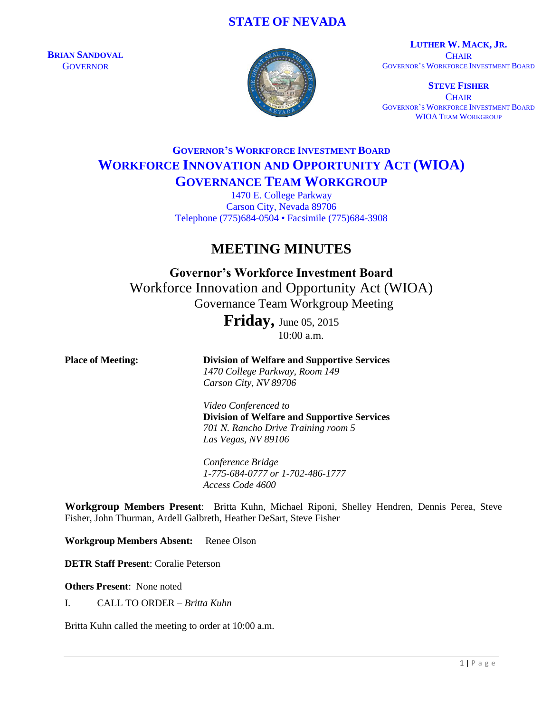# **STATE OF NEVADA**

**BRIAN SANDOVAL GOVERNOR** 



**LUTHER W. MACK, JR. CHAIR** GOVERNOR'S WORKFORCE INVESTMENT BOARD

**STEVE FISHER CHAIR** GOVERNOR'S WORKFORCE INVESTMENT BOARD WIOA TEAM WORKGROUP

# **GOVERNOR'S WORKFORCE INVESTMENT BOARD WORKFORCE INNOVATION AND OPPORTUNITY ACT (WIOA) GOVERNANCE TEAM WORKGROUP**

1470 E. College Parkway Carson City, Nevada 89706 Telephone (775)684-0504 • Facsimile (775)684-3908

# **MEETING MINUTES**

**Governor's Workforce Investment Board** Workforce Innovation and Opportunity Act (WIOA) Governance Team Workgroup Meeting

> **Friday,** June 05, <sup>2015</sup> 10:00 a.m.

**Place of Meeting: Division of Welfare and Supportive Services** *1470 College Parkway, Room 149 Carson City, NV 89706 Video Conferenced to* **Division of Welfare and Supportive Services** *701 N. Rancho Drive Training room 5 Las Vegas, NV 89106 Conference Bridge 1-775-684-0777 or 1-702-486-1777 Access Code 4600* **Workgroup Members Present**: Britta Kuhn, Michael Riponi, Shelley Hendren, Dennis Perea, Steve Fisher, John Thurman, Ardell Galbreth, Heather DeSart, Steve Fisher

**Workgroup Members Absent:** Renee Olson

**DETR Staff Present**: Coralie Peterson

**Others Present**: None noted

I. CALL TO ORDER – *Britta Kuhn*

Britta Kuhn called the meeting to order at 10:00 a.m.

 $1 | P$  a g e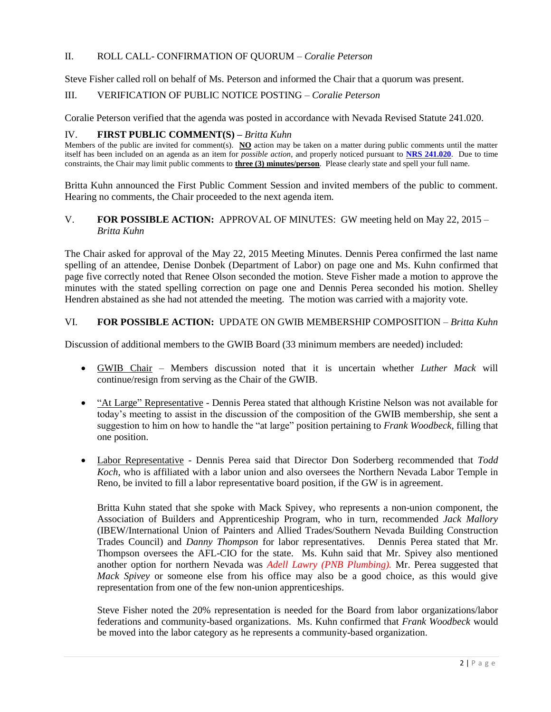#### II. ROLL CALL- CONFIRMATION OF QUORUM – *Coralie Peterson*

Steve Fisher called roll on behalf of Ms. Peterson and informed the Chair that a quorum was present.

# III. VERIFICATION OF PUBLIC NOTICE POSTING – *Coralie Peterson*

Coralie Peterson verified that the agenda was posted in accordance with Nevada Revised Statute 241.020.

#### IV. **FIRST PUBLIC COMMENT(S) –** *Britta Kuhn*

Members of the public are invited for comment(s). **NO** action may be taken on a matter during public comments until the matter itself has been included on an agenda as an item for *possible action*, and properly noticed pursuant to **[NRS 241.020](http://www.leg.state.nv.us/NRS/NRS-241.html#NRS241Sec020)**. Due to time constraints, the Chair may limit public comments to **three (3) minutes/person**. Please clearly state and spell your full name.

Britta Kuhn announced the First Public Comment Session and invited members of the public to comment. Hearing no comments, the Chair proceeded to the next agenda item.

#### V. **FOR POSSIBLE ACTION:** APPROVAL OF MINUTES: GW meeting held on May 22, 2015 – *Britta Kuhn*

The Chair asked for approval of the May 22, 2015 Meeting Minutes. Dennis Perea confirmed the last name spelling of an attendee, Denise Donbek (Department of Labor) on page one and Ms. Kuhn confirmed that page five correctly noted that Renee Olson seconded the motion. Steve Fisher made a motion to approve the minutes with the stated spelling correction on page one and Dennis Perea seconded his motion. Shelley Hendren abstained as she had not attended the meeting. The motion was carried with a majority vote.

# VI. **FOR POSSIBLE ACTION:** UPDATE ON GWIB MEMBERSHIP COMPOSITION – *Britta Kuhn*

Discussion of additional members to the GWIB Board (33 minimum members are needed) included:

- GWIB Chair Members discussion noted that it is uncertain whether *Luther Mack* will continue/resign from serving as the Chair of the GWIB.
- "At Large" Representative Dennis Perea stated that although Kristine Nelson was not available for today's meeting to assist in the discussion of the composition of the GWIB membership, she sent a suggestion to him on how to handle the "at large" position pertaining to *Frank Woodbeck*, filling that one position.
- Labor Representative Dennis Perea said that Director Don Soderberg recommended that *Todd Koch,* who is affiliated with a labor union and also oversees the Northern Nevada Labor Temple in Reno, be invited to fill a labor representative board position, if the GW is in agreement.

Britta Kuhn stated that she spoke with Mack Spivey, who represents a non-union component, the Association of Builders and Apprenticeship Program, who in turn, recommended *Jack Mallory* (IBEW/International Union of Painters and Allied Trades/Southern Nevada Building Construction Trades Council) and *Danny Thompson* for labor representatives*.* Dennis Perea stated that Mr. Thompson oversees the AFL-CIO for the state. Ms. Kuhn said that Mr. Spivey also mentioned another option for northern Nevada was *Adell Lawry (PNB Plumbing).* Mr. Perea suggested that *Mack Spivey* or someone else from his office may also be a good choice, as this would give representation from one of the few non-union apprenticeships.

Steve Fisher noted the 20% representation is needed for the Board from labor organizations/labor federations and community-based organizations. Ms. Kuhn confirmed that *Frank Woodbeck* would be moved into the labor category as he represents a community-based organization.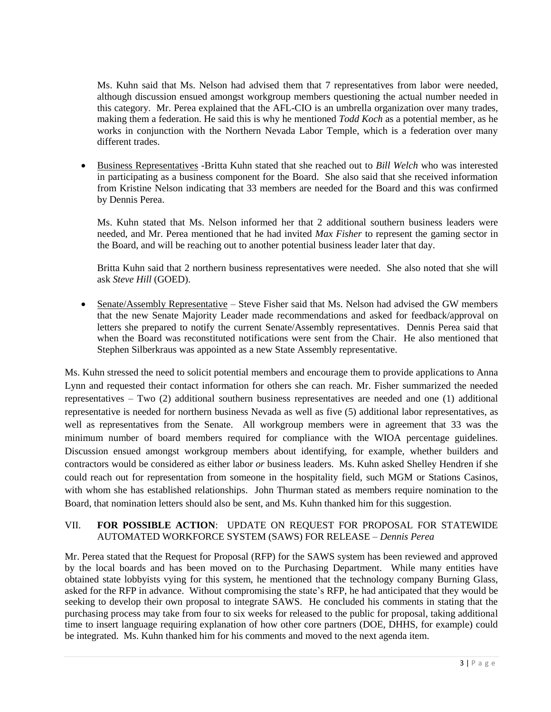Ms. Kuhn said that Ms. Nelson had advised them that 7 representatives from labor were needed, although discussion ensued amongst workgroup members questioning the actual number needed in this category. Mr. Perea explained that the AFL-CIO is an umbrella organization over many trades, making them a federation. He said this is why he mentioned *Todd Koch* as a potential member, as he works in conjunction with the Northern Nevada Labor Temple, which is a federation over many different trades.

 Business Representatives -Britta Kuhn stated that she reached out to *Bill Welch* who was interested in participating as a business component for the Board. She also said that she received information from Kristine Nelson indicating that 33 members are needed for the Board and this was confirmed by Dennis Perea.

Ms. Kuhn stated that Ms. Nelson informed her that 2 additional southern business leaders were needed, and Mr. Perea mentioned that he had invited *Max Fisher* to represent the gaming sector in the Board, and will be reaching out to another potential business leader later that day.

Britta Kuhn said that 2 northern business representatives were needed. She also noted that she will ask *Steve Hill* (GOED).

 Senate/Assembly Representative – Steve Fisher said that Ms. Nelson had advised the GW members that the new Senate Majority Leader made recommendations and asked for feedback/approval on letters she prepared to notify the current Senate/Assembly representatives. Dennis Perea said that when the Board was reconstituted notifications were sent from the Chair. He also mentioned that Stephen Silberkraus was appointed as a new State Assembly representative.

Ms. Kuhn stressed the need to solicit potential members and encourage them to provide applications to Anna Lynn and requested their contact information for others she can reach. Mr. Fisher summarized the needed representatives – Two (2) additional southern business representatives are needed and one (1) additional representative is needed for northern business Nevada as well as five (5) additional labor representatives, as well as representatives from the Senate. All workgroup members were in agreement that 33 was the minimum number of board members required for compliance with the WIOA percentage guidelines. Discussion ensued amongst workgroup members about identifying, for example, whether builders and contractors would be considered as either labor *or* business leaders. Ms. Kuhn asked Shelley Hendren if she could reach out for representation from someone in the hospitality field, such MGM or Stations Casinos, with whom she has established relationships. John Thurman stated as members require nomination to the Board, that nomination letters should also be sent, and Ms. Kuhn thanked him for this suggestion.

### VII. **FOR POSSIBLE ACTION**: UPDATE ON REQUEST FOR PROPOSAL FOR STATEWIDE AUTOMATED WORKFORCE SYSTEM (SAWS) FOR RELEASE – *Dennis Perea*

Mr. Perea stated that the Request for Proposal (RFP) for the SAWS system has been reviewed and approved by the local boards and has been moved on to the Purchasing Department. While many entities have obtained state lobbyists vying for this system, he mentioned that the technology company Burning Glass, asked for the RFP in advance. Without compromising the state's RFP, he had anticipated that they would be seeking to develop their own proposal to integrate SAWS. He concluded his comments in stating that the purchasing process may take from four to six weeks for released to the public for proposal, taking additional time to insert language requiring explanation of how other core partners (DOE, DHHS, for example) could be integrated. Ms. Kuhn thanked him for his comments and moved to the next agenda item.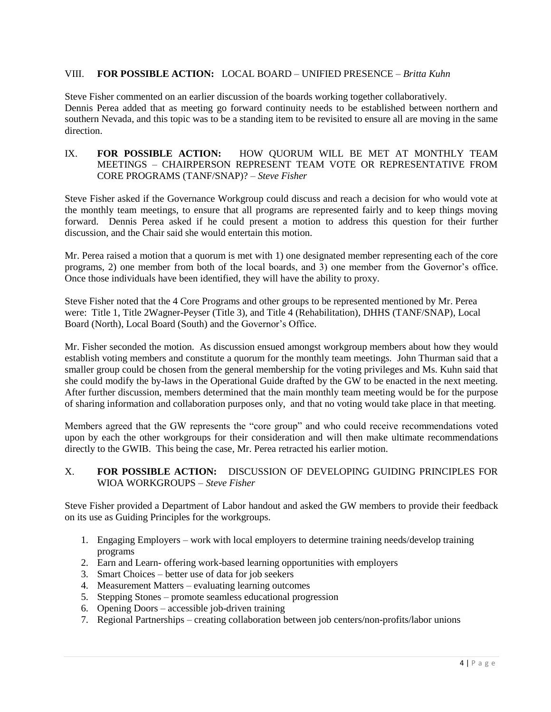### VIII. **FOR POSSIBLE ACTION:** LOCAL BOARD – UNIFIED PRESENCE – *Britta Kuhn*

Steve Fisher commented on an earlier discussion of the boards working together collaboratively. Dennis Perea added that as meeting go forward continuity needs to be established between northern and southern Nevada, and this topic was to be a standing item to be revisited to ensure all are moving in the same direction.

#### IX. **FOR POSSIBLE ACTION:** HOW QUORUM WILL BE MET AT MONTHLY TEAM MEETINGS – CHAIRPERSON REPRESENT TEAM VOTE OR REPRESENTATIVE FROM CORE PROGRAMS (TANF/SNAP)? – *Steve Fisher*

Steve Fisher asked if the Governance Workgroup could discuss and reach a decision for who would vote at the monthly team meetings, to ensure that all programs are represented fairly and to keep things moving forward. Dennis Perea asked if he could present a motion to address this question for their further discussion, and the Chair said she would entertain this motion.

Mr. Perea raised a motion that a quorum is met with 1) one designated member representing each of the core programs, 2) one member from both of the local boards, and 3) one member from the Governor's office. Once those individuals have been identified, they will have the ability to proxy.

Steve Fisher noted that the 4 Core Programs and other groups to be represented mentioned by Mr. Perea were: Title 1, Title 2Wagner-Peyser (Title 3), and Title 4 (Rehabilitation), DHHS (TANF/SNAP), Local Board (North), Local Board (South) and the Governor's Office.

Mr. Fisher seconded the motion. As discussion ensued amongst workgroup members about how they would establish voting members and constitute a quorum for the monthly team meetings. John Thurman said that a smaller group could be chosen from the general membership for the voting privileges and Ms. Kuhn said that she could modify the by-laws in the Operational Guide drafted by the GW to be enacted in the next meeting. After further discussion, members determined that the main monthly team meeting would be for the purpose of sharing information and collaboration purposes only, and that no voting would take place in that meeting.

Members agreed that the GW represents the "core group" and who could receive recommendations voted upon by each the other workgroups for their consideration and will then make ultimate recommendations directly to the GWIB. This being the case, Mr. Perea retracted his earlier motion.

#### X. **FOR POSSIBLE ACTION:** DISCUSSION OF DEVELOPING GUIDING PRINCIPLES FOR WIOA WORKGROUPS – *Steve Fisher*

Steve Fisher provided a Department of Labor handout and asked the GW members to provide their feedback on its use as Guiding Principles for the workgroups.

- 1. Engaging Employers work with local employers to determine training needs/develop training programs
- 2. Earn and Learn- offering work-based learning opportunities with employers
- 3. Smart Choices better use of data for job seekers
- 4. Measurement Matters evaluating learning outcomes
- 5. Stepping Stones promote seamless educational progression
- 6. Opening Doors accessible job-driven training
- 7. Regional Partnerships creating collaboration between job centers/non-profits/labor unions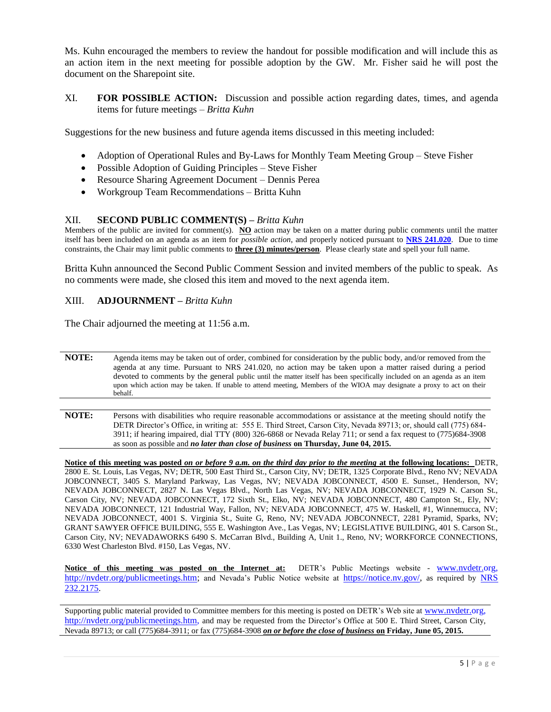Ms. Kuhn encouraged the members to review the handout for possible modification and will include this as an action item in the next meeting for possible adoption by the GW. Mr. Fisher said he will post the document on the Sharepoint site.

XI. **FOR POSSIBLE ACTION:** Discussion and possible action regarding dates, times, and agenda items for future meetings – *Britta Kuhn* 

Suggestions for the new business and future agenda items discussed in this meeting included:

- Adoption of Operational Rules and By-Laws for Monthly Team Meeting Group Steve Fisher
- Possible Adoption of Guiding Principles Steve Fisher
- Resource Sharing Agreement Document Dennis Perea
- Workgroup Team Recommendations Britta Kuhn

#### XII. **SECOND PUBLIC COMMENT(S) –** *Britta Kuhn*

Members of the public are invited for comment(s). **NO** action may be taken on a matter during public comments until the matter itself has been included on an agenda as an item for *possible action*, and properly noticed pursuant to **[NRS 241.020](http://www.leg.state.nv.us/NRS/NRS-241.html#NRS241Sec020)**. Due to time constraints, the Chair may limit public comments to **three (3) minutes/person**. Please clearly state and spell your full name.

Britta Kuhn announced the Second Public Comment Session and invited members of the public to speak. As no comments were made, she closed this item and moved to the next agenda item.

#### XIII. **ADJOURNMENT –** *Britta Kuhn*

The Chair adjourned the meeting at 11:56 a.m.

**NOTE:** Agenda items may be taken out of order, combined for consideration by the public body, and/or removed from the agenda at any time. Pursuant to NRS 241.020, no action may be taken upon a matter raised during a period devoted to comments by the general public until the matter itself has been specifically included on an agenda as an item upon which action may be taken. If unable to attend meeting, Members of the WIOA may designate a proxy to act on their behalf.

**NOTE:** Persons with disabilities who require reasonable accommodations or assistance at the meeting should notify the DETR Director's Office, in writing at: 555 E. Third Street, Carson City, Nevada 89713; or, should call (775) 684- 3911; if hearing impaired, dial TTY (800) 326-6868 or Nevada Relay 711; or send a fax request to (775)684-3908 as soon as possible and *no later than close of business* **on Thursday, June 04, 2015.**

**Notice of this meeting was posted** *on or before 9 a.m. on the third day prior to the meeting* **at the following locations:** DETR, 2800 E. St. Louis, Las Vegas, NV; DETR, 500 East Third St., Carson City, NV; DETR, 1325 Corporate Blvd., Reno NV; NEVADA JOBCONNECT, 3405 S. Maryland Parkway, Las Vegas, NV; NEVADA JOBCONNECT, 4500 E. Sunset., Henderson, NV; NEVADA JOBCONNECT, 2827 N. Las Vegas Blvd., North Las Vegas, NV; NEVADA JOBCONNECT, 1929 N. Carson St., Carson City, NV; NEVADA JOBCONNECT, 172 Sixth St., Elko, NV; NEVADA JOBCONNECT, 480 Campton St., Ely, NV; NEVADA JOBCONNECT, 121 Industrial Way, Fallon, NV; NEVADA JOBCONNECT, 475 W. Haskell, #1, Winnemucca, NV; NEVADA JOBCONNECT, 4001 S. Virginia St., Suite G, Reno, NV; NEVADA JOBCONNECT, 2281 Pyramid, Sparks, NV; GRANT SAWYER OFFICE BUILDING, 555 E. Washington Ave., Las Vegas, NV; LEGISLATIVE BUILDING, 401 S. Carson St., Carson City, NV; NEVADAWORKS 6490 S. McCarran Blvd., Building A, Unit 1., Reno, NV; WORKFORCE CONNECTIONS, 6330 West Charleston Blvd. #150, Las Vegas, NV.

**Notice of this meeting was posted on the Internet at:** DETR's Public Meetings website - [www.nvdetr.org,](http://www.nvdetr.org/) [http://nvdetr.org/publicmeetings.htm;](http://nvdetr.org/publicmeetings.htm) and Nevada's Public Notice website at [https://notice.nv.gov/,](https://notice.nv.gov/) as required by NRS [232.2175.](http://www.leg.state.nv.us/NRS/NRS-232.html#NRS232Sec2175)

Supporting public material provided to Committee members for this meeting is posted on DETR's Web site at [www.nvdetr.org,](http://www.nvdetr.org/) [http://nvdetr.org/publicmeetings.htm,](http://nvdetr.org/publicmeetings.htm) and may be requested from the Director's Office at 500 E. Third Street, Carson City, Nevada 89713; or call (775)684-3911; or fax (775)684-3908 *on or before the close of business* **on Friday, June 05, 2015.**